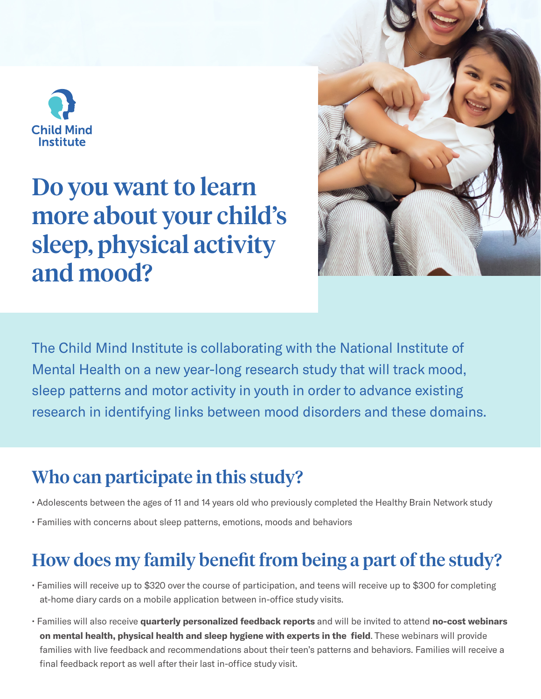

# Do you want to learn more about your child's sleep, physical activity and mood?



The Child Mind Institute is collaborating with the National Institute of Mental Health on a new year-long research study that will track mood, sleep patterns and motor activity in youth in order to advance existing research in identifying links between mood disorders and these domains.

### Who can participate in this study?

- Adolescents between the ages of 11 and 14 years old who previously completed the Healthy Brain Network study
- Families with concerns about sleep patterns, emotions, moods and behaviors

## How does my family benefit from being a part of the study?

- Families will receive up to \$320 over the course of participation, and teens will receive up to \$300 for completing at-home diary cards on a mobile application between in-office study visits.
- Families will also receive quarterly personalized feedback reports and will be invited to attend no-cost webinars on mental health, physical health and sleep hygiene with experts in the field. These webinars will provide families with live feedback and recommendations about their teen's patterns and behaviors. Families will receive a final feedback report as well after their last in-office study visit.